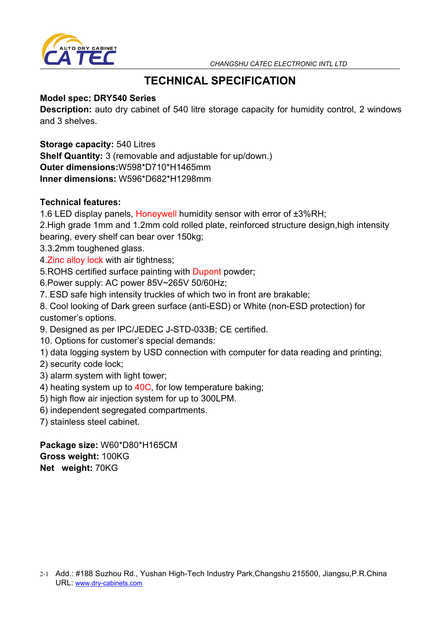



# **TECHNICAL SPECIFICATION**

## **Model spec: DRY540 Series**

**Description:** auto dry cabinet of 540 litre storage capacity for humidity control, 2 windows and 3 shelves.

**Storage capacity:** 540 Litres **Shelf Quantity:** 3 (removable and adjustable for up/down.) **Outer dimensions:**W598\*D710\*H1465mm **Inner dimensions:** W596\*D682\*H1298mm

## **Technical features:**

- 1.6 LED display panels, Honeywell humidity sensor with error of ±3%RH;
- 2.High grade 1mm and 1.2mm cold rolled plate, reinforced structure design,high intensity bearing, every shelf can bear over 150kg;
- 3.3.2mm toughened glass.
- 4.Zinc alloy lock with air tightness;
- 5.ROHS certified surface painting with Dupont powder;
- 6.Power supply: AC power 85V~265V 50/60Hz;
- 7. ESD safe high intensity truckles of which two in front are brakable;
- 8. Cool looking of Dark green surface (anti-ESD) or White (non-ESD protection) for customer's options.
- 9. Designed as per IPC/JEDEC J-STD-033B; CE certified.
- 10. Options for customer's special demands:
- 1) data logging system by USD connection with computer for data reading and printing;
- 2) security code lock;
- 3) alarm system with light tower;
- 4) heating system up to 40C, for low temperature baking;
- 5) high flow air injection system for up to 300LPM.
- 6) independent segregated compartments.
- 7) stainless steel cabinet.

**Package size:** W60\*D80\*H165CM **Gross weight:** 100KG **Net weight:** 70KG

<sup>2-1</sup> Add.: #188 Suzhou Rd., Yushan High-Tech Industry Park,Changshu 215500, Jiangsu,P.R.China URL: [www.dry-cabinets.com](http://www.dry-cabinets.com)